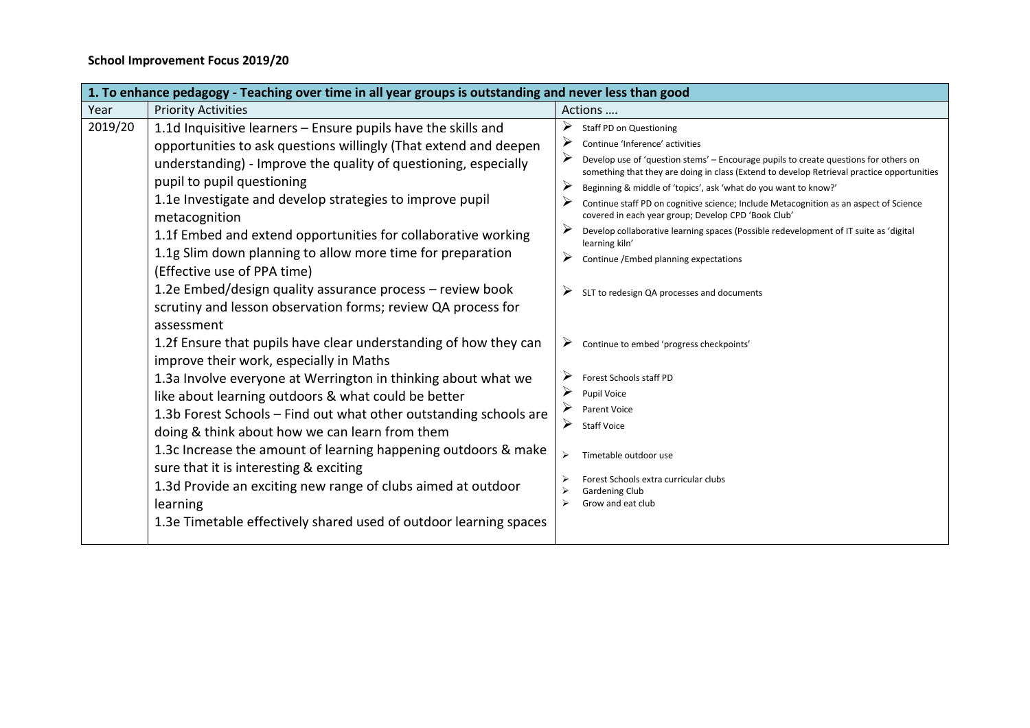| 1. To enhance pedagogy - Teaching over time in all year groups is outstanding and never less than good |                                                                                                                                                                                                                                                                                                                                                                                                                                                                                                                                                                                                                                                                                                       |                                                                                                                                                                                                                                                                                                                                                                                                                                                                                                                                                                                                                                                                                                                 |  |  |
|--------------------------------------------------------------------------------------------------------|-------------------------------------------------------------------------------------------------------------------------------------------------------------------------------------------------------------------------------------------------------------------------------------------------------------------------------------------------------------------------------------------------------------------------------------------------------------------------------------------------------------------------------------------------------------------------------------------------------------------------------------------------------------------------------------------------------|-----------------------------------------------------------------------------------------------------------------------------------------------------------------------------------------------------------------------------------------------------------------------------------------------------------------------------------------------------------------------------------------------------------------------------------------------------------------------------------------------------------------------------------------------------------------------------------------------------------------------------------------------------------------------------------------------------------------|--|--|
| Year                                                                                                   | <b>Priority Activities</b>                                                                                                                                                                                                                                                                                                                                                                                                                                                                                                                                                                                                                                                                            | Actions                                                                                                                                                                                                                                                                                                                                                                                                                                                                                                                                                                                                                                                                                                         |  |  |
| 2019/20                                                                                                | 1.1d Inquisitive learners - Ensure pupils have the skills and<br>opportunities to ask questions willingly (That extend and deepen<br>understanding) - Improve the quality of questioning, especially<br>pupil to pupil questioning<br>1.1e Investigate and develop strategies to improve pupil<br>metacognition<br>1.1f Embed and extend opportunities for collaborative working<br>1.1g Slim down planning to allow more time for preparation<br>(Effective use of PPA time)<br>1.2e Embed/design quality assurance process - review book                                                                                                                                                            | ➤<br><b>Staff PD on Questioning</b><br>➤<br>Continue 'Inference' activities<br>➤<br>Develop use of 'question stems' - Encourage pupils to create questions for others on<br>something that they are doing in class (Extend to develop Retrieval practice opportunities<br>➤<br>Beginning & middle of 'topics', ask 'what do you want to know?'<br>Continue staff PD on cognitive science; Include Metacognition as an aspect of Science<br>covered in each year group; Develop CPD 'Book Club'<br>➤<br>Develop collaborative learning spaces (Possible redevelopment of IT suite as 'digital<br>learning kiln'<br>➤<br>Continue /Embed planning expectations<br>➤<br>SLT to redesign QA processes and documents |  |  |
|                                                                                                        | scrutiny and lesson observation forms; review QA process for<br>assessment<br>1.2f Ensure that pupils have clear understanding of how they can<br>improve their work, especially in Maths<br>1.3a Involve everyone at Werrington in thinking about what we<br>like about learning outdoors & what could be better<br>1.3b Forest Schools - Find out what other outstanding schools are<br>doing & think about how we can learn from them<br>1.3c Increase the amount of learning happening outdoors & make<br>sure that it is interesting & exciting<br>1.3d Provide an exciting new range of clubs aimed at outdoor<br>learning<br>1.3e Timetable effectively shared used of outdoor learning spaces | ➤<br>Continue to embed 'progress checkpoints'<br>➤<br>Forest Schools staff PD<br>➤<br>Pupil Voice<br>➤<br>Parent Voice<br>➤<br><b>Staff Voice</b><br>Timetable outdoor use<br>⋗<br>Forest Schools extra curricular clubs<br>Gardening Club<br>Grow and eat club                                                                                                                                                                                                                                                                                                                                                                                                                                                 |  |  |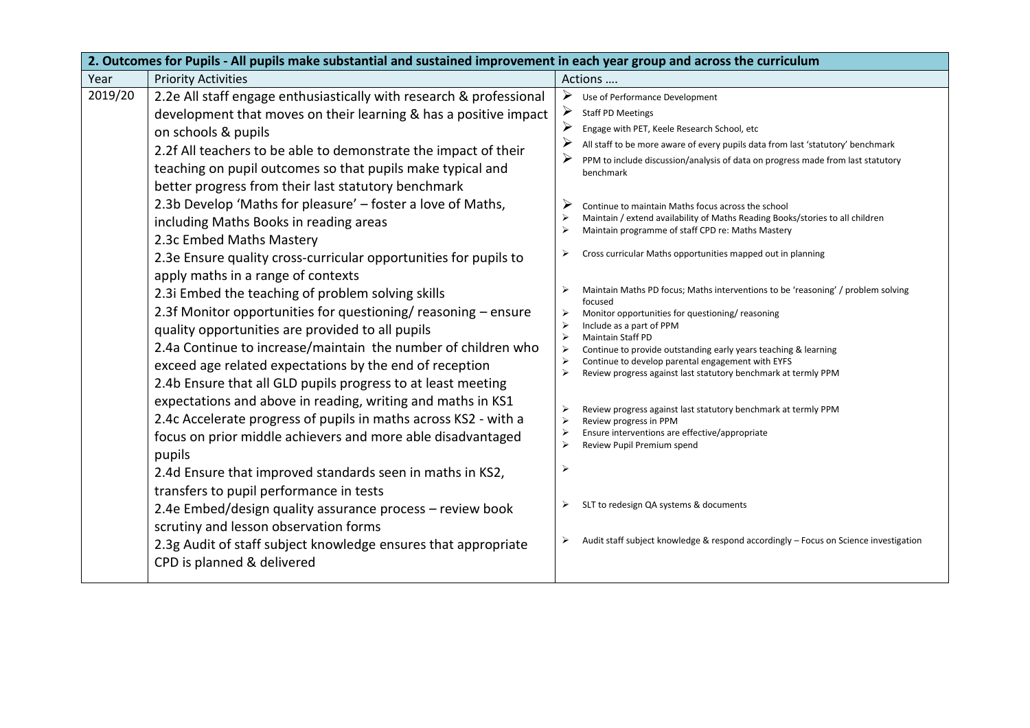| 2. Outcomes for Pupils - All pupils make substantial and sustained improvement in each year group and across the curriculum |                                                                                                                                                                                                                                                                                                                                                                                                                                                                                                                                                                                                                                                                                                                                                                                                                                                                                                                                                                                                        |                                                                                                                                                                                                                                                                                                                                                                                                                                                                                                                                                                                                                                                                                                                                                                                                             |  |
|-----------------------------------------------------------------------------------------------------------------------------|--------------------------------------------------------------------------------------------------------------------------------------------------------------------------------------------------------------------------------------------------------------------------------------------------------------------------------------------------------------------------------------------------------------------------------------------------------------------------------------------------------------------------------------------------------------------------------------------------------------------------------------------------------------------------------------------------------------------------------------------------------------------------------------------------------------------------------------------------------------------------------------------------------------------------------------------------------------------------------------------------------|-------------------------------------------------------------------------------------------------------------------------------------------------------------------------------------------------------------------------------------------------------------------------------------------------------------------------------------------------------------------------------------------------------------------------------------------------------------------------------------------------------------------------------------------------------------------------------------------------------------------------------------------------------------------------------------------------------------------------------------------------------------------------------------------------------------|--|
| Year                                                                                                                        | <b>Priority Activities</b>                                                                                                                                                                                                                                                                                                                                                                                                                                                                                                                                                                                                                                                                                                                                                                                                                                                                                                                                                                             | Actions                                                                                                                                                                                                                                                                                                                                                                                                                                                                                                                                                                                                                                                                                                                                                                                                     |  |
| 2019/20                                                                                                                     | 2.2e All staff engage enthusiastically with research & professional<br>development that moves on their learning & has a positive impact<br>on schools & pupils<br>2.2f All teachers to be able to demonstrate the impact of their<br>teaching on pupil outcomes so that pupils make typical and<br>better progress from their last statutory benchmark<br>2.3b Develop 'Maths for pleasure' - foster a love of Maths,<br>including Maths Books in reading areas<br>2.3c Embed Maths Mastery                                                                                                                                                                                                                                                                                                                                                                                                                                                                                                            | ➤<br>Use of Performance Development<br>➤<br><b>Staff PD Meetings</b><br>≻<br>Engage with PET, Keele Research School, etc<br>≻<br>All staff to be more aware of every pupils data from last 'statutory' benchmark<br>PPM to include discussion/analysis of data on progress made from last statutory<br>benchmark<br>Continue to maintain Maths focus across the school<br>Maintain / extend availability of Maths Reading Books/stories to all children<br>Maintain programme of staff CPD re: Maths Mastery                                                                                                                                                                                                                                                                                                |  |
|                                                                                                                             | 2.3e Ensure quality cross-curricular opportunities for pupils to<br>apply maths in a range of contexts<br>2.3i Embed the teaching of problem solving skills<br>2.3f Monitor opportunities for questioning/ reasoning - ensure<br>quality opportunities are provided to all pupils<br>2.4a Continue to increase/maintain the number of children who<br>exceed age related expectations by the end of reception<br>2.4b Ensure that all GLD pupils progress to at least meeting<br>expectations and above in reading, writing and maths in KS1<br>2.4c Accelerate progress of pupils in maths across KS2 - with a<br>focus on prior middle achievers and more able disadvantaged<br>pupils<br>2.4d Ensure that improved standards seen in maths in KS2,<br>transfers to pupil performance in tests<br>2.4e Embed/design quality assurance process - review book<br>scrutiny and lesson observation forms<br>2.3g Audit of staff subject knowledge ensures that appropriate<br>CPD is planned & delivered | Cross curricular Maths opportunities mapped out in planning<br>Maintain Maths PD focus; Maths interventions to be 'reasoning' / problem solving<br>focused<br>Monitor opportunities for questioning/reasoning<br>Include as a part of PPM<br>⋗<br><b>Maintain Staff PD</b><br>Continue to provide outstanding early years teaching & learning<br>Continue to develop parental engagement with EYFS<br>Review progress against last statutory benchmark at termly PPM<br>Review progress against last statutory benchmark at termly PPM<br>Review progress in PPM<br>Ensure interventions are effective/appropriate<br>$\triangleright$<br>Review Pupil Premium spend<br>➤<br>SLT to redesign QA systems & documents<br>Audit staff subject knowledge & respond accordingly - Focus on Science investigation |  |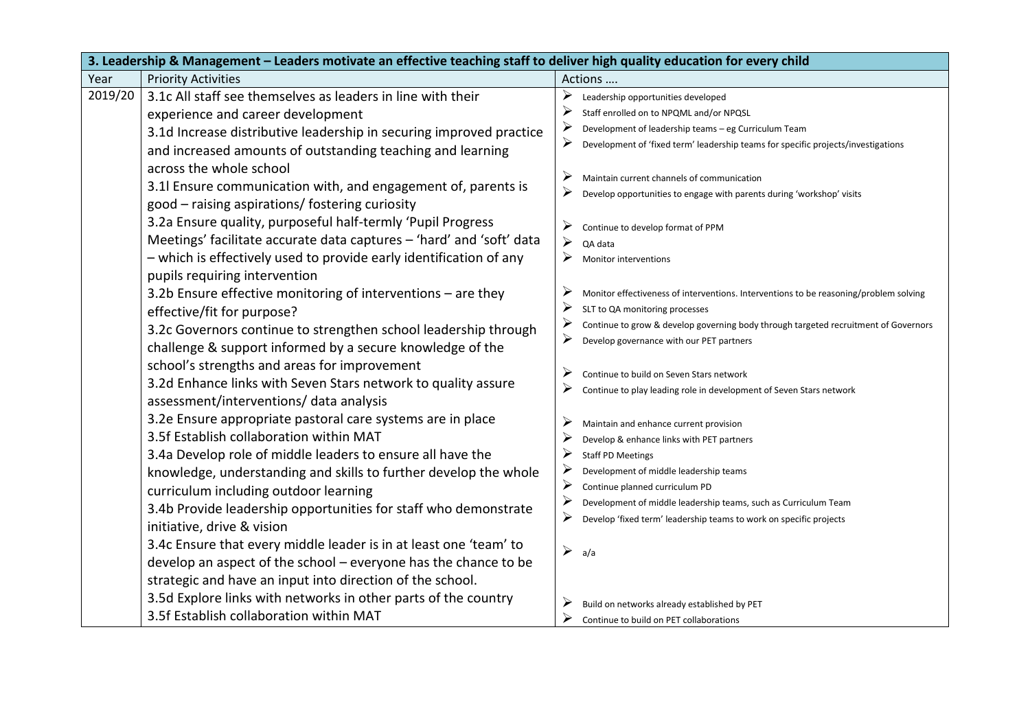| 3. Leadership & Management - Leaders motivate an effective teaching staff to deliver high quality education for every child |                                                                                         |                                                                                            |  |
|-----------------------------------------------------------------------------------------------------------------------------|-----------------------------------------------------------------------------------------|--------------------------------------------------------------------------------------------|--|
| Year                                                                                                                        | <b>Priority Activities</b>                                                              | Actions                                                                                    |  |
| 2019/20                                                                                                                     | 3.1c All staff see themselves as leaders in line with their                             | ⋗<br>Leadership opportunities developed                                                    |  |
|                                                                                                                             | experience and career development                                                       | Staff enrolled on to NPQML and/or NPQSL                                                    |  |
|                                                                                                                             | 3.1d Increase distributive leadership in securing improved practice                     | ≻<br>Development of leadership teams - eg Curriculum Team                                  |  |
|                                                                                                                             | and increased amounts of outstanding teaching and learning                              | ➤<br>Development of 'fixed term' leadership teams for specific projects/investigations     |  |
|                                                                                                                             | across the whole school<br>3.1 Ensure communication with, and engagement of, parents is | ➤<br>Maintain current channels of communication                                            |  |
|                                                                                                                             | good - raising aspirations/ fostering curiosity                                         | Develop opportunities to engage with parents during 'workshop' visits                      |  |
|                                                                                                                             | 3.2a Ensure quality, purposeful half-termly 'Pupil Progress                             | ➤<br>Continue to develop format of PPM                                                     |  |
|                                                                                                                             | Meetings' facilitate accurate data captures - 'hard' and 'soft' data                    | $\blacktriangleright$<br>QA data                                                           |  |
|                                                                                                                             | - which is effectively used to provide early identification of any                      | ⋗<br>Monitor interventions                                                                 |  |
|                                                                                                                             | pupils requiring intervention                                                           |                                                                                            |  |
|                                                                                                                             | 3.2b Ensure effective monitoring of interventions - are they                            | ➤<br>Monitor effectiveness of interventions. Interventions to be reasoning/problem solving |  |
|                                                                                                                             | effective/fit for purpose?                                                              | SLT to QA monitoring processes                                                             |  |
|                                                                                                                             | 3.2c Governors continue to strengthen school leadership through                         | Continue to grow & develop governing body through targeted recruitment of Governors        |  |
|                                                                                                                             | challenge & support informed by a secure knowledge of the                               | ≻<br>Develop governance with our PET partners                                              |  |
|                                                                                                                             | school's strengths and areas for improvement                                            |                                                                                            |  |
|                                                                                                                             | 3.2d Enhance links with Seven Stars network to quality assure                           | Continue to build on Seven Stars network                                                   |  |
|                                                                                                                             | assessment/interventions/ data analysis                                                 | Continue to play leading role in development of Seven Stars network                        |  |
|                                                                                                                             | 3.2e Ensure appropriate pastoral care systems are in place                              | Maintain and enhance current provision                                                     |  |
|                                                                                                                             | 3.5f Establish collaboration within MAT                                                 | Develop & enhance links with PET partners                                                  |  |
|                                                                                                                             | 3.4a Develop role of middle leaders to ensure all have the                              | <b>Staff PD Meetings</b>                                                                   |  |
|                                                                                                                             | knowledge, understanding and skills to further develop the whole                        | Development of middle leadership teams                                                     |  |
|                                                                                                                             | curriculum including outdoor learning                                                   | Continue planned curriculum PD                                                             |  |
|                                                                                                                             | 3.4b Provide leadership opportunities for staff who demonstrate                         | ➤<br>Development of middle leadership teams, such as Curriculum Team                       |  |
|                                                                                                                             | initiative, drive & vision                                                              | ➤<br>Develop 'fixed term' leadership teams to work on specific projects                    |  |
|                                                                                                                             | 3.4c Ensure that every middle leader is in at least one 'team' to                       | $\blacktriangleright$<br>a/a                                                               |  |
|                                                                                                                             | develop an aspect of the school - everyone has the chance to be                         |                                                                                            |  |
|                                                                                                                             | strategic and have an input into direction of the school.                               |                                                                                            |  |
|                                                                                                                             | 3.5d Explore links with networks in other parts of the country                          | Build on networks already established by PET                                               |  |
|                                                                                                                             | 3.5f Establish collaboration within MAT                                                 | ≻<br>Continue to build on PET collaborations                                               |  |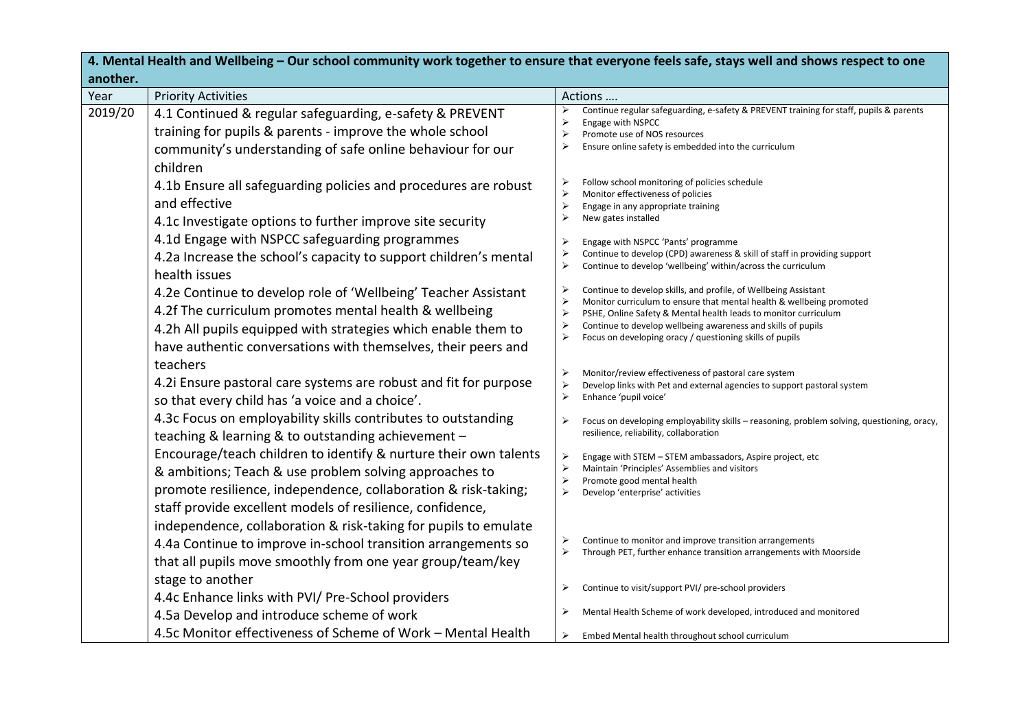| 4. Mental Health and Wellbeing – Our school community work together to ensure that everyone feels safe, stays well and shows respect to one |                                                                                                                                                                                                                                                            |                                                                                                                                                                                                                                                                                                                                                            |  |  |
|---------------------------------------------------------------------------------------------------------------------------------------------|------------------------------------------------------------------------------------------------------------------------------------------------------------------------------------------------------------------------------------------------------------|------------------------------------------------------------------------------------------------------------------------------------------------------------------------------------------------------------------------------------------------------------------------------------------------------------------------------------------------------------|--|--|
| another.                                                                                                                                    |                                                                                                                                                                                                                                                            |                                                                                                                                                                                                                                                                                                                                                            |  |  |
| Year<br>2019/20                                                                                                                             | <b>Priority Activities</b><br>4.1 Continued & regular safeguarding, e-safety & PREVENT<br>training for pupils & parents - improve the whole school<br>community's understanding of safe online behaviour for our<br>children                               | Actions<br>Continue regular safeguarding, e-safety & PREVENT training for staff, pupils & parents<br>Engage with NSPCC<br>Promote use of NOS resources<br>$\blacktriangleright$<br>Ensure online safety is embedded into the curriculum                                                                                                                    |  |  |
|                                                                                                                                             | 4.1b Ensure all safeguarding policies and procedures are robust<br>and effective<br>4.1c Investigate options to further improve site security<br>4.1d Engage with NSPCC safeguarding programmes                                                            | Follow school monitoring of policies schedule<br>⋗<br>Monitor effectiveness of policies<br>⋗<br>Engage in any appropriate training<br>$\triangleright$<br>New gates installed<br>⋗<br>Engage with NSPCC 'Pants' programme                                                                                                                                  |  |  |
|                                                                                                                                             | 4.2a Increase the school's capacity to support children's mental<br>health issues                                                                                                                                                                          | Continue to develop (CPD) awareness & skill of staff in providing support<br>➤<br>⋗<br>Continue to develop 'wellbeing' within/across the curriculum                                                                                                                                                                                                        |  |  |
|                                                                                                                                             | 4.2e Continue to develop role of 'Wellbeing' Teacher Assistant<br>4.2f The curriculum promotes mental health & wellbeing<br>4.2h All pupils equipped with strategies which enable them to<br>have authentic conversations with themselves, their peers and | Continue to develop skills, and profile, of Wellbeing Assistant<br>⋗<br>⋗<br>Monitor curriculum to ensure that mental health & wellbeing promoted<br>PSHE, Online Safety & Mental health leads to monitor curriculum<br>⋗<br>Continue to develop wellbeing awareness and skills of pupils<br>➤<br>Focus on developing oracy / questioning skills of pupils |  |  |
|                                                                                                                                             | teachers<br>4.2i Ensure pastoral care systems are robust and fit for purpose<br>so that every child has 'a voice and a choice'.                                                                                                                            | Monitor/review effectiveness of pastoral care system<br>⋗<br>Develop links with Pet and external agencies to support pastoral system<br>⋗<br>Enhance 'pupil voice'                                                                                                                                                                                         |  |  |
|                                                                                                                                             | 4.3c Focus on employability skills contributes to outstanding<br>teaching & learning & to outstanding achievement -                                                                                                                                        | Focus on developing employability skills - reasoning, problem solving, questioning, oracy,<br>⋗<br>resilience, reliability, collaboration                                                                                                                                                                                                                  |  |  |
|                                                                                                                                             | Encourage/teach children to identify & nurture their own talents<br>& ambitions; Teach & use problem solving approaches to<br>promote resilience, independence, collaboration & risk-taking;<br>staff provide excellent models of resilience, confidence,  | ➤<br>Engage with STEM - STEM ambassadors, Aspire project, etc<br>⋗<br>Maintain 'Principles' Assemblies and visitors<br>Promote good mental health<br>⋗<br>$\blacktriangleright$<br>Develop 'enterprise' activities                                                                                                                                         |  |  |
|                                                                                                                                             | independence, collaboration & risk-taking for pupils to emulate<br>4.4a Continue to improve in-school transition arrangements so<br>that all pupils move smoothly from one year group/team/key                                                             | Continue to monitor and improve transition arrangements<br>Through PET, further enhance transition arrangements with Moorside                                                                                                                                                                                                                              |  |  |
|                                                                                                                                             | stage to another<br>4.4c Enhance links with PVI/ Pre-School providers                                                                                                                                                                                      | Continue to visit/support PVI/ pre-school providers<br>➤                                                                                                                                                                                                                                                                                                   |  |  |
|                                                                                                                                             | 4.5a Develop and introduce scheme of work                                                                                                                                                                                                                  | Mental Health Scheme of work developed, introduced and monitored                                                                                                                                                                                                                                                                                           |  |  |
|                                                                                                                                             | 4.5c Monitor effectiveness of Scheme of Work - Mental Health                                                                                                                                                                                               | ➤<br>Embed Mental health throughout school curriculum                                                                                                                                                                                                                                                                                                      |  |  |